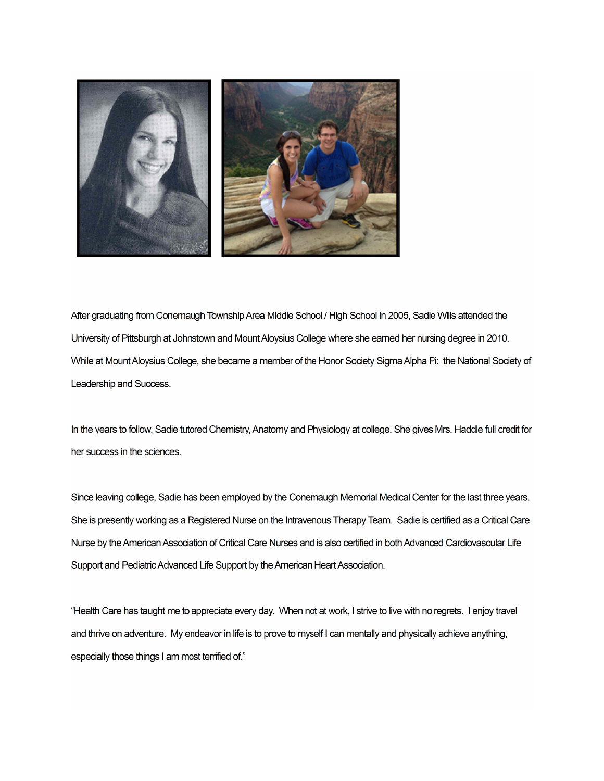

After graduating from Conemaugh Township Area Middle School / High School in 2005, Sadie Wills attended the University of Pittsburgh at Johnstown and Mount Aloysius College where she earned her nursing degree in 2010. While at Mount Aloysius College, she became a member of the Honor Society Sigma Alpha Pi: the National Society of Leadership and Success.

In the years to follow, Sadie tutored Chemistry, Anatomy and Physiology at college. She gives Mrs. Haddle full credit for her success in the sciences.

Since leaving college, Sadie has been employed by the Conemaugh Memorial Medical Center for the last three years. She is presently working as a Registered Nurse on the Intravenous Therapy Team. Sadie is certified as a Critical Care Nurse by the American Association of Critical Care Nurses and is also certified in both Advanced Cardiovascular Life Support and Pediatric Advanced Life Support by the American Heart Association.

"Health Care has taught me to appreciate every day. When not at work, I strive to live with no regrets. I enjoy travel and thrive on adventure. My endeavor in life is to prove to myself I can mentally and physically achieve anything, especially those things I am most terrified of."